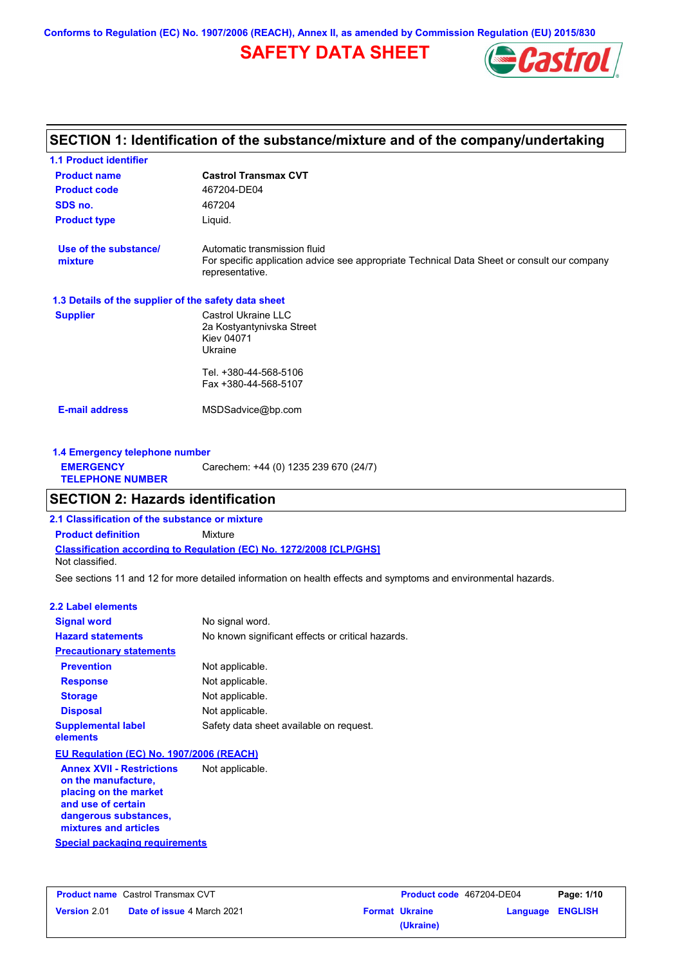**Conforms to Regulation (EC) No. 1907/2006 (REACH), Annex II, as amended by Commission Regulation (EU) 2015/830**

# **SAFETY DATA SHEET**



## **Castrol Transmax CVT Product name 1.1 Product identifier 1.3 Details of the supplier of the safety data sheet Product type Liquid. E-mail address** MSDSadvice@bp.com **SECTION 1: Identification of the substance/mixture and of the company/undertaking Product code 467204-DE04 1.4 Emergency telephone number EMERGENCY TELEPHONE NUMBER** Carechem: +44 (0) 1235 239 670 (24/7) **Supplier** Castrol Ukraine LLC 2a Kostyantynivska Street Kiev 04071 Ukraine Tel. +380-44-568-5106 Fax +380-44-568-5107 **SDS no.** 467204 **Use of the substance/ mixture** Automatic transmission fluid For specific application advice see appropriate Technical Data Sheet or consult our company representative. **SECTION 2: Hazards identification**

**Classification according to Regulation (EC) No. 1272/2008 [CLP/GHS] 2.1 Classification of the substance or mixture Product definition** Mixture Not classified.

See sections 11 and 12 for more detailed information on health effects and symptoms and environmental hazards.

### **2.2 Label elements**

| <b>Signal word</b>                                                                                     | No signal word.                                   |
|--------------------------------------------------------------------------------------------------------|---------------------------------------------------|
| <b>Hazard statements</b>                                                                               | No known significant effects or critical hazards. |
| <b>Precautionary statements</b>                                                                        |                                                   |
| <b>Prevention</b>                                                                                      | Not applicable.                                   |
| <b>Response</b>                                                                                        | Not applicable.                                   |
| <b>Storage</b>                                                                                         | Not applicable.                                   |
| <b>Disposal</b>                                                                                        | Not applicable.                                   |
| <b>Supplemental label</b><br>elements                                                                  | Safety data sheet available on request.           |
| EU Regulation (EC) No. 1907/2006 (REACH)                                                               |                                                   |
| <b>Annex XVII - Restrictions</b><br>on the manufacture,<br>placing on the market<br>and use of certain | Not applicable.                                   |

**dangerous substances, mixtures and articles**

## **Special packaging requirements**

|                     | <b>Product name</b> Castrol Transmax CVT | <b>Product code</b> 467204-DE04 |                  | Page: 1/10 |
|---------------------|------------------------------------------|---------------------------------|------------------|------------|
| <b>Version 2.01</b> | <b>Date of issue 4 March 2021</b>        | <b>Format Ukraine</b>           | Language ENGLISH |            |
|                     |                                          | (Ukraine)                       |                  |            |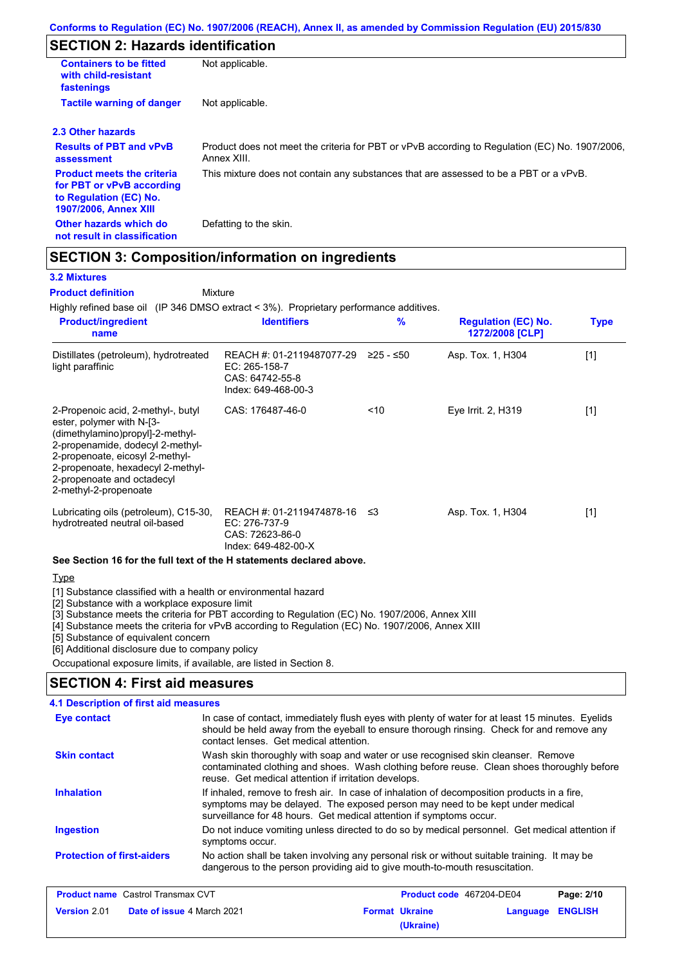# **SECTION 2: Hazards identification**

| <b>Containers to be fitted</b><br>with child-resistant<br>fastenings                                                     | Not applicable.                                                                                               |
|--------------------------------------------------------------------------------------------------------------------------|---------------------------------------------------------------------------------------------------------------|
| <b>Tactile warning of danger</b><br>Not applicable.                                                                      |                                                                                                               |
| 2.3 Other hazards                                                                                                        |                                                                                                               |
| <b>Results of PBT and vPvB</b><br>assessment                                                                             | Product does not meet the criteria for PBT or vPvB according to Regulation (EC) No. 1907/2006,<br>Annex XIII. |
| <b>Product meets the criteria</b><br>for PBT or vPvB according<br>to Regulation (EC) No.<br><b>1907/2006, Annex XIII</b> | This mixture does not contain any substances that are assessed to be a PBT or a vPvB.                         |
| Other hazards which do<br>not result in classification                                                                   | Defatting to the skin.                                                                                        |

# **SECTION 3: Composition/information on ingredients**

Mixture

## **3.2 Mixtures**

**Product definition**

Highly refined base oil (IP 346 DMSO extract < 3%). Proprietary performance additives.

| <b>Product/ingredient</b><br>name                                                                                                                                                                                                                                      | <b>Identifiers</b>                                                                   | $\frac{9}{6}$ | <b>Regulation (EC) No.</b><br>1272/2008 [CLP] | <b>Type</b> |
|------------------------------------------------------------------------------------------------------------------------------------------------------------------------------------------------------------------------------------------------------------------------|--------------------------------------------------------------------------------------|---------------|-----------------------------------------------|-------------|
| Distillates (petroleum), hydrotreated<br>light paraffinic                                                                                                                                                                                                              | REACH #: 01-2119487077-29<br>EC: 265-158-7<br>CAS: 64742-55-8<br>Index: 649-468-00-3 | $≥25 - ≤50$   | Asp. Tox. 1, H304                             | $[1]$       |
| 2-Propenoic acid, 2-methyl-, butyl<br>ester, polymer with N-[3-<br>(dimethylamino)propyl]-2-methyl-<br>2-propenamide, dodecyl 2-methyl-<br>2-propenoate, eicosyl 2-methyl-<br>2-propenoate, hexadecyl 2-methyl-<br>2-propenoate and octadecyl<br>2-methyl-2-propenoate | CAS: 176487-46-0                                                                     | ~10           | Eye Irrit. 2, H319                            | $[1]$       |
| Lubricating oils (petroleum), C15-30,<br>hydrotreated neutral oil-based                                                                                                                                                                                                | REACH #: 01-2119474878-16<br>EC: 276-737-9<br>CAS: 72623-86-0<br>Index: 649-482-00-X | -≤3           | Asp. Tox. 1, H304                             | $[1]$       |
| See Section 16 for the full text of the H statements declared above.                                                                                                                                                                                                   |                                                                                      |               |                                               |             |
| $T_{max}$                                                                                                                                                                                                                                                              |                                                                                      |               |                                               |             |

**Type** 

[1] Substance classified with a health or environmental hazard

[2] Substance with a workplace exposure limit

[3] Substance meets the criteria for PBT according to Regulation (EC) No. 1907/2006, Annex XIII

[4] Substance meets the criteria for vPvB according to Regulation (EC) No. 1907/2006, Annex XIII

[5] Substance of equivalent concern

[6] Additional disclosure due to company policy

Occupational exposure limits, if available, are listed in Section 8.

## **SECTION 4: First aid measures**

| <b>4.1 Description of first aid measures</b> |                                                                                                                                                                                                                                                     |
|----------------------------------------------|-----------------------------------------------------------------------------------------------------------------------------------------------------------------------------------------------------------------------------------------------------|
| <b>Eye contact</b>                           | In case of contact, immediately flush eyes with plenty of water for at least 15 minutes. Eyelids<br>should be held away from the eyeball to ensure thorough rinsing. Check for and remove any<br>contact lenses. Get medical attention.             |
| <b>Skin contact</b>                          | Wash skin thoroughly with soap and water or use recognised skin cleanser. Remove<br>contaminated clothing and shoes. Wash clothing before reuse. Clean shoes thoroughly before<br>reuse. Get medical attention if irritation develops.              |
| <b>Inhalation</b>                            | If inhaled, remove to fresh air. In case of inhalation of decomposition products in a fire,<br>symptoms may be delayed. The exposed person may need to be kept under medical<br>surveillance for 48 hours. Get medical attention if symptoms occur. |
| <b>Ingestion</b>                             | Do not induce vomiting unless directed to do so by medical personnel. Get medical attention if<br>symptoms occur.                                                                                                                                   |
| <b>Protection of first-aiders</b>            | No action shall be taken involving any personal risk or without suitable training. It may be<br>dangerous to the person providing aid to give mouth-to-mouth resuscitation.                                                                         |

| <b>Product name</b> Castrol Transmax CVT |                                   | Product code 467204-DE04 |                       | Page: 2/10       |  |
|------------------------------------------|-----------------------------------|--------------------------|-----------------------|------------------|--|
| <b>Version 2.01</b>                      | <b>Date of issue 4 March 2021</b> |                          | <b>Format Ukraine</b> | Language ENGLISH |  |
|                                          |                                   |                          | (Ukraine)             |                  |  |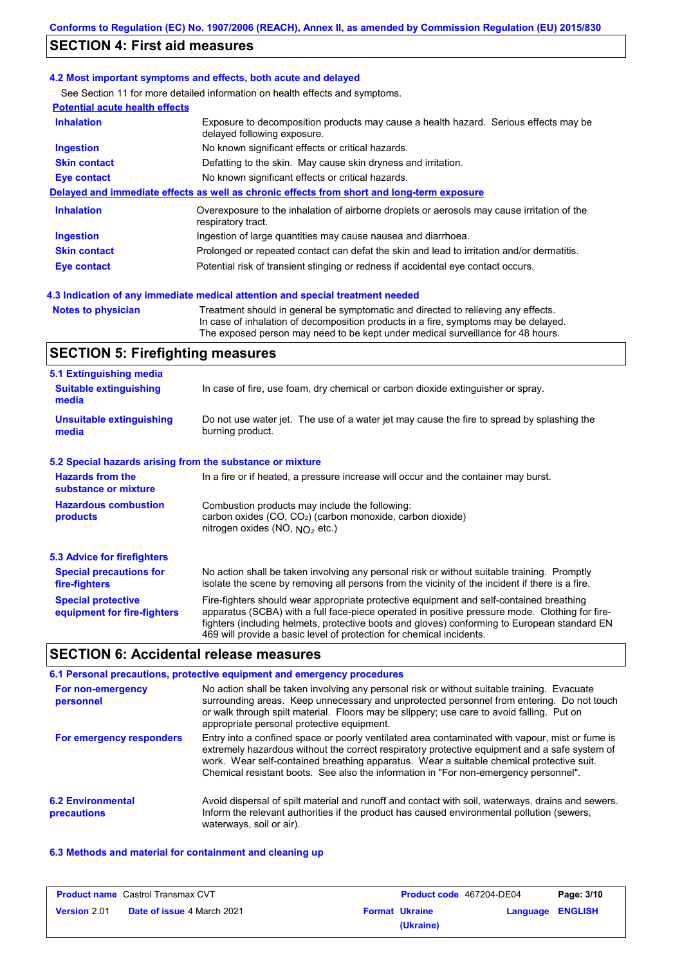# **SECTION 4: First aid measures**

### **4.2 Most important symptoms and effects, both acute and delayed**

See Section 11 for more detailed information on health effects and symptoms.

| <b>Potential acute health effects</b> |                                                                                                                     |  |  |
|---------------------------------------|---------------------------------------------------------------------------------------------------------------------|--|--|
| <b>Inhalation</b>                     | Exposure to decomposition products may cause a health hazard. Serious effects may be<br>delayed following exposure. |  |  |
| <b>Ingestion</b>                      | No known significant effects or critical hazards.                                                                   |  |  |
| <b>Skin contact</b>                   | Defatting to the skin. May cause skin dryness and irritation.                                                       |  |  |
| Eye contact                           | No known significant effects or critical hazards.                                                                   |  |  |
|                                       | Delayed and immediate effects as well as chronic effects from short and long-term exposure                          |  |  |
| <b>Inhalation</b>                     | Overexposure to the inhalation of airborne droplets or aerosols may cause irritation of the<br>respiratory tract.   |  |  |
| <b>Ingestion</b>                      | Ingestion of large quantities may cause nausea and diarrhoea.                                                       |  |  |
| <b>Skin contact</b>                   | Prolonged or repeated contact can defat the skin and lead to irritation and/or dermatitis.                          |  |  |
| Eye contact                           | Potential risk of transient stinging or redness if accidental eye contact occurs.                                   |  |  |

## **4.3 Indication of any immediate medical attention and special treatment needed**

**Notes to physician** Treatment should in general be symptomatic and directed to relieving any effects. In case of inhalation of decomposition products in a fire, symptoms may be delayed. The exposed person may need to be kept under medical surveillance for 48 hours.

# **SECTION 5: Firefighting measures**

| 5.1 Extinguishing media                                                                                                                                                                                 |                                                                                                                                                                                                                                                                                           |  |
|---------------------------------------------------------------------------------------------------------------------------------------------------------------------------------------------------------|-------------------------------------------------------------------------------------------------------------------------------------------------------------------------------------------------------------------------------------------------------------------------------------------|--|
| <b>Suitable extinguishing</b><br>media                                                                                                                                                                  | In case of fire, use foam, dry chemical or carbon dioxide extinguisher or spray.                                                                                                                                                                                                          |  |
| Do not use water jet. The use of a water jet may cause the fire to spread by splashing the<br><b>Unsuitable extinguishing</b><br>burning product.<br>media                                              |                                                                                                                                                                                                                                                                                           |  |
| 5.2 Special hazards arising from the substance or mixture                                                                                                                                               |                                                                                                                                                                                                                                                                                           |  |
| <b>Hazards from the</b><br>substance or mixture                                                                                                                                                         | In a fire or if heated, a pressure increase will occur and the container may burst.                                                                                                                                                                                                       |  |
| <b>Hazardous combustion</b><br>Combustion products may include the following:<br>carbon oxides (CO, CO <sub>2</sub> ) (carbon monoxide, carbon dioxide)<br>products<br>nitrogen oxides (NO, $NO2$ etc.) |                                                                                                                                                                                                                                                                                           |  |
| 5.3 Advice for firefighters                                                                                                                                                                             |                                                                                                                                                                                                                                                                                           |  |
| <b>Special precautions for</b><br>fire-fighters                                                                                                                                                         | No action shall be taken involving any personal risk or without suitable training. Promptly<br>isolate the scene by removing all persons from the vicinity of the incident if there is a fire.                                                                                            |  |
| <b>Special protective</b><br>equipment for fire-fighters                                                                                                                                                | Fire-fighters should wear appropriate protective equipment and self-contained breathing<br>apparatus (SCBA) with a full face-piece operated in positive pressure mode. Clothing for fire-<br>fighters (including helmets, protective boots and gloves) conforming to European standard EN |  |

## **SECTION 6: Accidental release measures**

|                                         | 6.1 Personal precautions, protective equipment and emergency procedures                                                                                                                                                                                                                                                                                                              |
|-----------------------------------------|--------------------------------------------------------------------------------------------------------------------------------------------------------------------------------------------------------------------------------------------------------------------------------------------------------------------------------------------------------------------------------------|
| For non-emergency<br>personnel          | No action shall be taken involving any personal risk or without suitable training. Evacuate<br>surrounding areas. Keep unnecessary and unprotected personnel from entering. Do not touch<br>or walk through spilt material. Floors may be slippery; use care to avoid falling. Put on<br>appropriate personal protective equipment.                                                  |
| For emergency responders                | Entry into a confined space or poorly ventilated area contaminated with vapour, mist or fume is<br>extremely hazardous without the correct respiratory protective equipment and a safe system of<br>work. Wear self-contained breathing apparatus. Wear a suitable chemical protective suit.<br>Chemical resistant boots. See also the information in "For non-emergency personnel". |
| <b>6.2 Environmental</b><br>precautions | Avoid dispersal of spilt material and runoff and contact with soil, waterways, drains and sewers.<br>Inform the relevant authorities if the product has caused environmental pollution (sewers,<br>waterways, soil or air).                                                                                                                                                          |

469 will provide a basic level of protection for chemical incidents.

### **6.3 Methods and material for containment and cleaning up**

| <b>Product name</b> Castrol Transmax CVT |                                   |  | <b>Product code</b> 467204-DE04 | Page: 3/10       |  |
|------------------------------------------|-----------------------------------|--|---------------------------------|------------------|--|
| <b>Version 2.01</b>                      | <b>Date of issue 4 March 2021</b> |  | <b>Format Ukraine</b>           | Language ENGLISH |  |
|                                          |                                   |  | (Ukraine)                       |                  |  |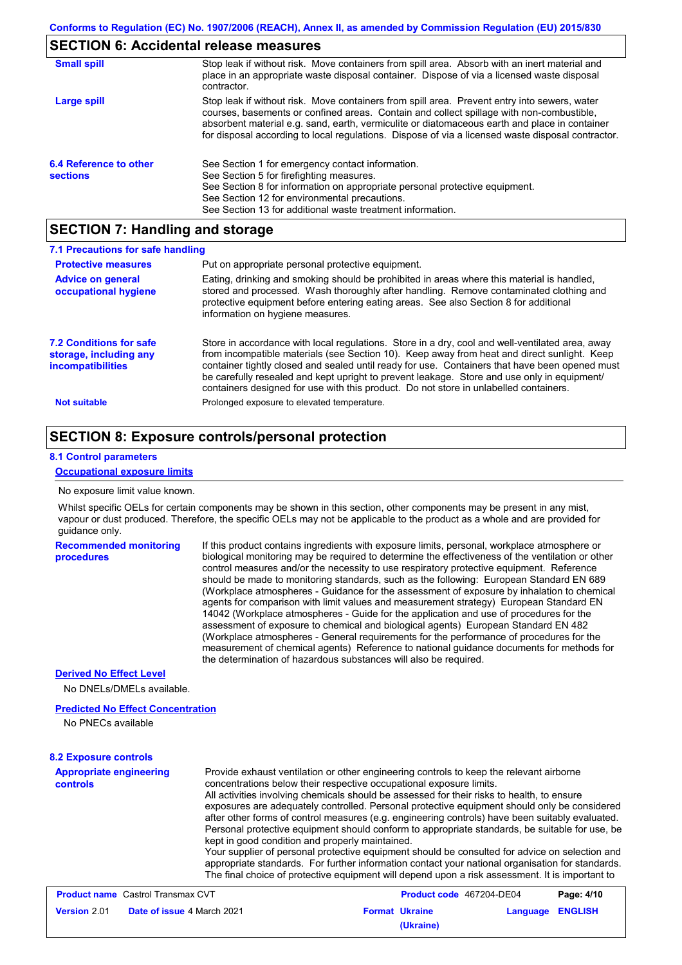## **SECTION 6: Accidental release measures**

| <b>Small spill</b>                        | Stop leak if without risk. Move containers from spill area. Absorb with an inert material and<br>place in an appropriate waste disposal container. Dispose of via a licensed waste disposal<br>contractor.                                                                                                                                                                                     |
|-------------------------------------------|------------------------------------------------------------------------------------------------------------------------------------------------------------------------------------------------------------------------------------------------------------------------------------------------------------------------------------------------------------------------------------------------|
| Large spill                               | Stop leak if without risk. Move containers from spill area. Prevent entry into sewers, water<br>courses, basements or confined areas. Contain and collect spillage with non-combustible,<br>absorbent material e.g. sand, earth, vermiculite or diatomaceous earth and place in container<br>for disposal according to local regulations. Dispose of via a licensed waste disposal contractor. |
| 6.4 Reference to other<br><b>sections</b> | See Section 1 for emergency contact information.<br>See Section 5 for firefighting measures.<br>See Section 8 for information on appropriate personal protective equipment.<br>See Section 12 for environmental precautions.<br>See Section 13 for additional waste treatment information.                                                                                                     |

# **SECTION 7: Handling and storage**

| 7.1 Precautions for safe handling                                                    |                                                                                                                                                                                                                                                                                                                                                                                                                                                                                          |
|--------------------------------------------------------------------------------------|------------------------------------------------------------------------------------------------------------------------------------------------------------------------------------------------------------------------------------------------------------------------------------------------------------------------------------------------------------------------------------------------------------------------------------------------------------------------------------------|
| <b>Protective measures</b>                                                           | Put on appropriate personal protective equipment.                                                                                                                                                                                                                                                                                                                                                                                                                                        |
| <b>Advice on general</b><br>occupational hygiene                                     | Eating, drinking and smoking should be prohibited in areas where this material is handled.<br>stored and processed. Wash thoroughly after handling. Remove contaminated clothing and<br>protective equipment before entering eating areas. See also Section 8 for additional<br>information on hygiene measures.                                                                                                                                                                         |
| <b>7.2 Conditions for safe</b><br>storage, including any<br><i>incompatibilities</i> | Store in accordance with local regulations. Store in a dry, cool and well-ventilated area, away<br>from incompatible materials (see Section 10). Keep away from heat and direct sunlight. Keep<br>container tightly closed and sealed until ready for use. Containers that have been opened must<br>be carefully resealed and kept upright to prevent leakage. Store and use only in equipment/<br>containers designed for use with this product. Do not store in unlabelled containers. |
| <b>Not suitable</b>                                                                  | Prolonged exposure to elevated temperature.                                                                                                                                                                                                                                                                                                                                                                                                                                              |

# **SECTION 8: Exposure controls/personal protection**

### **8.1 Control parameters**

### **Occupational exposure limits**

#### No exposure limit value known.

Whilst specific OELs for certain components may be shown in this section, other components may be present in any mist, vapour or dust produced. Therefore, the specific OELs may not be applicable to the product as a whole and are provided for guidance only.

| <b>Recommended monitoring</b> |  |
|-------------------------------|--|
| procedures                    |  |

If this product contains ingredients with exposure limits, personal, workplace atmosphere or biological monitoring may be required to determine the effectiveness of the ventilation or other control measures and/or the necessity to use respiratory protective equipment. Reference should be made to monitoring standards, such as the following: European Standard EN 689 (Workplace atmospheres - Guidance for the assessment of exposure by inhalation to chemical agents for comparison with limit values and measurement strategy) European Standard EN 14042 (Workplace atmospheres - Guide for the application and use of procedures for the assessment of exposure to chemical and biological agents) European Standard EN 482 (Workplace atmospheres - General requirements for the performance of procedures for the measurement of chemical agents) Reference to national guidance documents for methods for the determination of hazardous substances will also be required.

### **Derived No Effect Level**

No DNELs/DMELs available.

### **Predicted No Effect Concentration**

No PNECs available

## **8.2 Exposure controls**

| <b>Appropriate engineering</b><br><b>controls</b> | Provide exhaust ventilation or other engineering controls to keep the relevant airborne<br>concentrations below their respective occupational exposure limits.<br>All activities involving chemicals should be assessed for their risks to health, to ensure<br>exposures are adequately controlled. Personal protective equipment should only be considered<br>after other forms of control measures (e.g. engineering controls) have been suitably evaluated.<br>Personal protective equipment should conform to appropriate standards, be suitable for use, be<br>kept in good condition and properly maintained.<br>Your supplier of personal protective equipment should be consulted for advice on selection and<br>appropriate standards. For further information contact your national organisation for standards.<br>The final choice of protective equipment will depend upon a risk assessment. It is important to |
|---------------------------------------------------|-------------------------------------------------------------------------------------------------------------------------------------------------------------------------------------------------------------------------------------------------------------------------------------------------------------------------------------------------------------------------------------------------------------------------------------------------------------------------------------------------------------------------------------------------------------------------------------------------------------------------------------------------------------------------------------------------------------------------------------------------------------------------------------------------------------------------------------------------------------------------------------------------------------------------------|
| <b>Brodust name, Control Transmay CVT</b>         | D <sub>0</sub><br><b>Draduat and ACTOOL DEOA</b>                                                                                                                                                                                                                                                                                                                                                                                                                                                                                                                                                                                                                                                                                                                                                                                                                                                                              |

|                     | <b>Product name</b> Castrol Transmax CVT | Product code 467204-DE04 |                  | Page: 4/10 |
|---------------------|------------------------------------------|--------------------------|------------------|------------|
| <b>Version 2.01</b> | <b>Date of issue 4 March 2021</b>        | <b>Format Ukraine</b>    | Language ENGLISH |            |
|                     |                                          | (Ukraine)                |                  |            |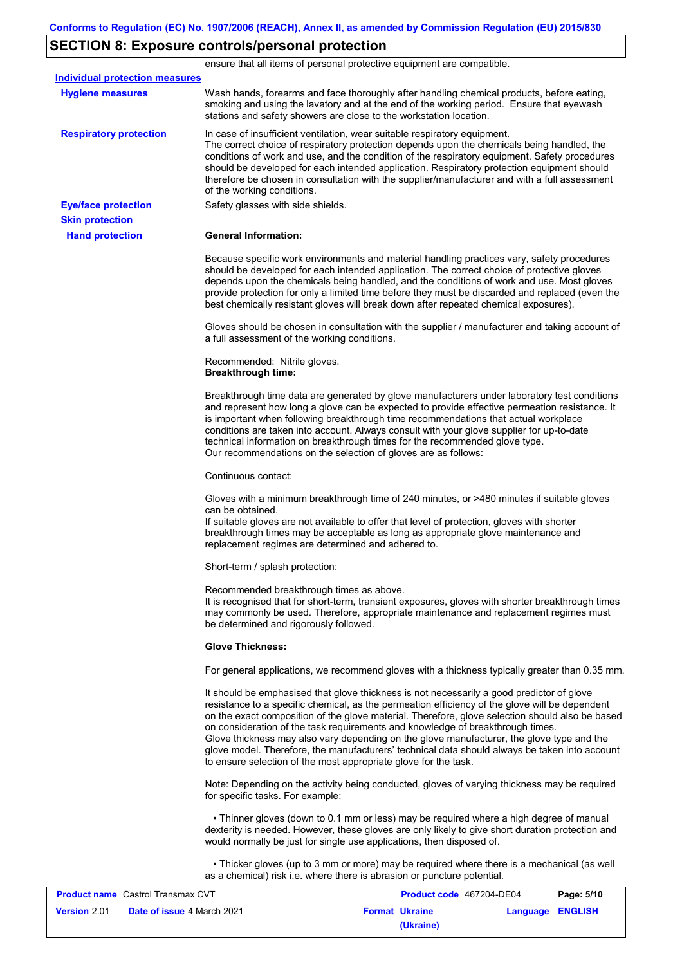## **SECTION 8: Exposure controls/personal protection**

**Hand protection** In case of insufficient ventilation, wear suitable respiratory equipment. The correct choice of respiratory protection depends upon the chemicals being handled, the conditions of work and use, and the condition of the respiratory equipment. Safety procedures should be developed for each intended application. Respiratory protection equipment should therefore be chosen in consultation with the supplier/manufacturer and with a full assessment of the working conditions. **General Information:** Because specific work environments and material handling practices vary, safety procedures should be developed for each intended application. The correct choice of protective gloves depends upon the chemicals being handled, and the conditions of work and use. Most gloves provide protection for only a limited time before they must be discarded and replaced (even the best chemically resistant gloves will break down after repeated chemical exposures). Gloves should be chosen in consultation with the supplier / manufacturer and taking account of a full assessment of the working conditions. Recommended: Nitrile gloves. **Breakthrough time:** Breakthrough time data are generated by glove manufacturers under laboratory test conditions and represent how long a glove can be expected to provide effective permeation resistance. It is important when following breakthrough time recommendations that actual workplace conditions are taken into account. Always consult with your glove supplier for up-to-date technical information on breakthrough times for the recommended glove type. Our recommendations on the selection of gloves are as follows: Continuous contact: Gloves with a minimum breakthrough time of 240 minutes, or >480 minutes if suitable gloves can be obtained. If suitable gloves are not available to offer that level of protection, gloves with shorter breakthrough times may be acceptable as long as appropriate glove maintenance and replacement regimes are determined and adhered to. Short-term / splash protection: Recommended breakthrough times as above. It is recognised that for short-term, transient exposures, gloves with shorter breakthrough times may commonly be used. Therefore, appropriate maintenance and replacement regimes must be determined and rigorously followed. **Glove Thickness:** For general applications, we recommend gloves with a thickness typically greater than 0.35 mm. It should be emphasised that glove thickness is not necessarily a good predictor of glove resistance to a specific chemical, as the permeation efficiency of the glove will be dependent on the exact composition of the glove material. Therefore, glove selection should also be based on consideration of the task requirements and knowledge of breakthrough times. Glove thickness may also vary depending on the glove manufacturer, the glove type and the glove model. Therefore, the manufacturers' technical data should always be taken into account to ensure selection of the most appropriate glove for the task. Note: Depending on the activity being conducted, gloves of varying thickness may be required for specific tasks. For example: • Thinner gloves (down to 0.1 mm or less) may be required where a high degree of manual dexterity is needed. However, these gloves are only likely to give short duration protection and would normally be just for single use applications, then disposed of. • Thicker gloves (up to 3 mm or more) may be required where there is a mechanical (as well as a chemical) risk i.e. where there is abrasion or puncture potential. **Eye/face protection** Safety glasses with side shields. **Respiratory protection Skin protection** ensure that all items of personal protective equipment are compatible. Wash hands, forearms and face thoroughly after handling chemical products, before eating, smoking and using the lavatory and at the end of the working period. Ensure that eyewash stations and safety showers are close to the workstation location. **Hygiene measures Individual protection measures**

|                     | <b>Product name</b> Castrol Transmax CVT | Product code 467204-DE04 |                         | Page: 5/10 |
|---------------------|------------------------------------------|--------------------------|-------------------------|------------|
| <b>Version 2.01</b> | <b>Date of issue 4 March 2021</b>        | <b>Format Ukraine</b>    | <b>Language ENGLISH</b> |            |
|                     |                                          | (Ukraine)                |                         |            |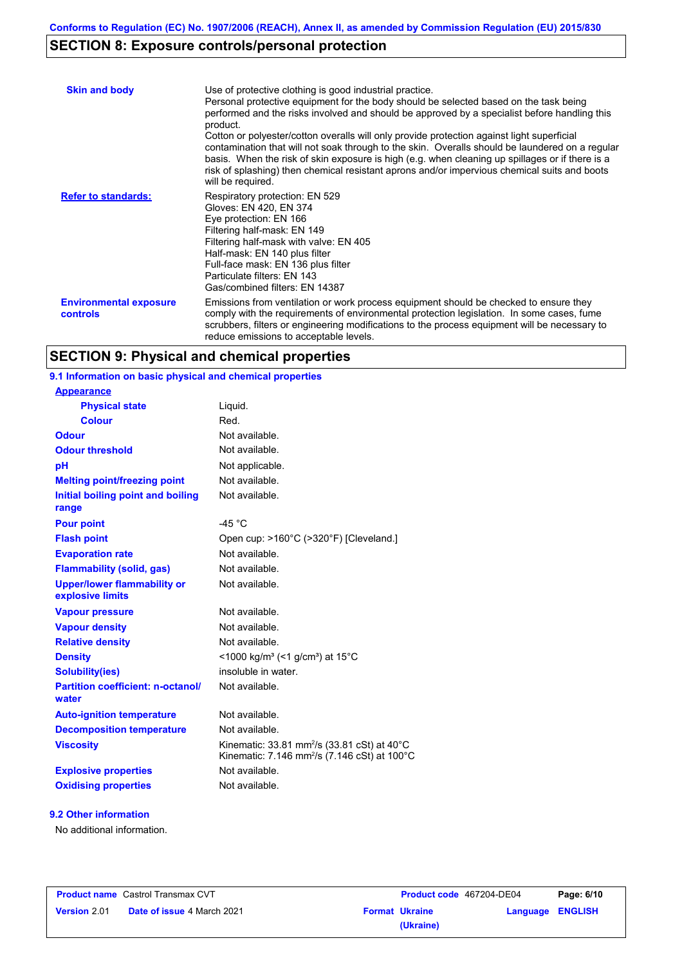# **SECTION 8: Exposure controls/personal protection**

| <b>Skin and body</b>                             | Use of protective clothing is good industrial practice.<br>Personal protective equipment for the body should be selected based on the task being<br>performed and the risks involved and should be approved by a specialist before handling this<br>product.<br>Cotton or polyester/cotton overalls will only provide protection against light superficial<br>contamination that will not soak through to the skin. Overalls should be laundered on a regular<br>basis. When the risk of skin exposure is high (e.g. when cleaning up spillages or if there is a<br>risk of splashing) then chemical resistant aprons and/or impervious chemical suits and boots<br>will be required. |
|--------------------------------------------------|---------------------------------------------------------------------------------------------------------------------------------------------------------------------------------------------------------------------------------------------------------------------------------------------------------------------------------------------------------------------------------------------------------------------------------------------------------------------------------------------------------------------------------------------------------------------------------------------------------------------------------------------------------------------------------------|
| <b>Refer to standards:</b>                       | Respiratory protection: EN 529<br>Gloves: EN 420, EN 374<br>Eye protection: EN 166<br>Filtering half-mask: EN 149<br>Filtering half-mask with valve: EN 405<br>Half-mask: EN 140 plus filter<br>Full-face mask: EN 136 plus filter<br>Particulate filters: EN 143<br>Gas/combined filters: EN 14387                                                                                                                                                                                                                                                                                                                                                                                   |
| <b>Environmental exposure</b><br><b>controls</b> | Emissions from ventilation or work process equipment should be checked to ensure they<br>comply with the requirements of environmental protection legislation. In some cases, fume<br>scrubbers, filters or engineering modifications to the process equipment will be necessary to<br>reduce emissions to acceptable levels.                                                                                                                                                                                                                                                                                                                                                         |

# **SECTION 9: Physical and chemical properties**

| 9.1 Information on basic physical and chemical properties |                                                                                                                     |
|-----------------------------------------------------------|---------------------------------------------------------------------------------------------------------------------|
| <b>Appearance</b>                                         |                                                                                                                     |
| <b>Physical state</b>                                     | Liquid.                                                                                                             |
| <b>Colour</b>                                             | Red.                                                                                                                |
| <b>Odour</b>                                              | Not available.                                                                                                      |
| <b>Odour threshold</b>                                    | Not available.                                                                                                      |
| pH                                                        | Not applicable.                                                                                                     |
| <b>Melting point/freezing point</b>                       | Not available.                                                                                                      |
| Initial boiling point and boiling<br>range                | Not available.                                                                                                      |
| <b>Pour point</b>                                         | -45 $°C$                                                                                                            |
| <b>Flash point</b>                                        | Open cup: >160°C (>320°F) [Cleveland.]                                                                              |
| <b>Evaporation rate</b>                                   | Not available.                                                                                                      |
| <b>Flammability (solid, gas)</b>                          | Not available.                                                                                                      |
| <b>Upper/lower flammability or</b><br>explosive limits    | Not available.                                                                                                      |
| <b>Vapour pressure</b>                                    | Not available.                                                                                                      |
| <b>Vapour density</b>                                     | Not available.                                                                                                      |
| <b>Relative density</b>                                   | Not available.                                                                                                      |
| <b>Density</b>                                            | <1000 kg/m <sup>3</sup> (<1 g/cm <sup>3</sup> ) at 15°C                                                             |
| <b>Solubility(ies)</b>                                    | insoluble in water.                                                                                                 |
| <b>Partition coefficient: n-octanol/</b><br>water         | Not available.                                                                                                      |
| <b>Auto-ignition temperature</b>                          | Not available.                                                                                                      |
| <b>Decomposition temperature</b>                          | Not available.                                                                                                      |
| <b>Viscosity</b>                                          | Kinematic: 33.81 mm <sup>2</sup> /s (33.81 cSt) at 40°C<br>Kinematic: 7.146 mm <sup>2</sup> /s (7.146 cSt) at 100°C |
|                                                           |                                                                                                                     |
| <b>Explosive properties</b>                               | Not available.                                                                                                      |

## **9.2 Other information**

No additional information.

|                     | <b>Product name</b> Castrol Transmax CVT |                       | Product code 467204-DE04 | Page: 6/10 |
|---------------------|------------------------------------------|-----------------------|--------------------------|------------|
| <b>Version 2.01</b> | <b>Date of issue 4 March 2021</b>        | <b>Format Ukraine</b> | Language ENGLISH         |            |
|                     |                                          | (Ukraine)             |                          |            |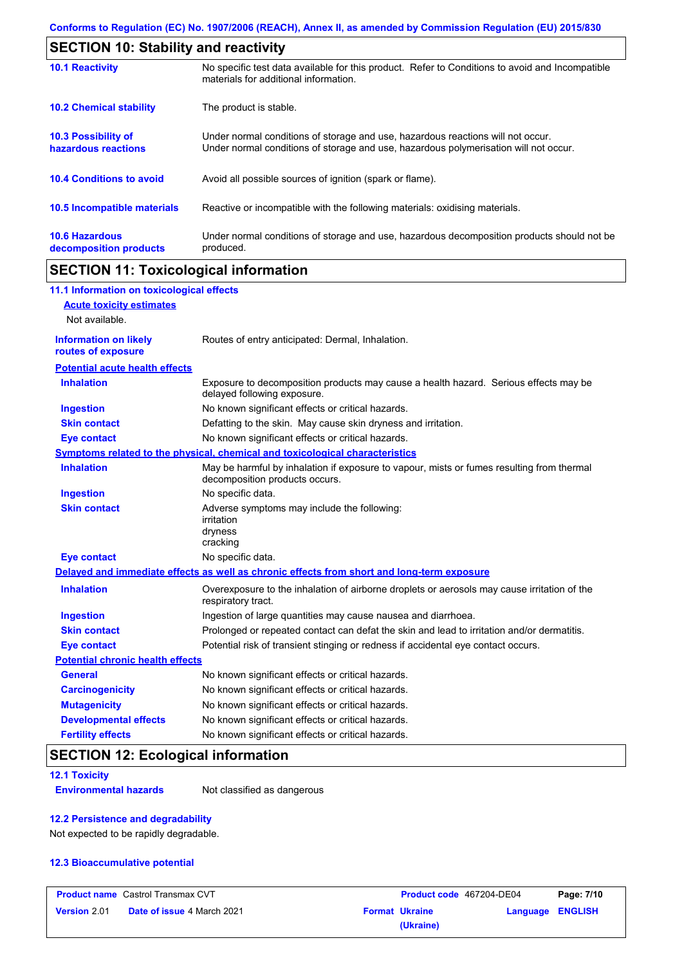| <b>SECTION 10: Stability and reactivity</b>       |                                                                                                                                                                         |  |  |  |
|---------------------------------------------------|-------------------------------------------------------------------------------------------------------------------------------------------------------------------------|--|--|--|
| <b>10.1 Reactivity</b>                            | No specific test data available for this product. Refer to Conditions to avoid and Incompatible<br>materials for additional information.                                |  |  |  |
| <b>10.2 Chemical stability</b>                    | The product is stable.                                                                                                                                                  |  |  |  |
| <b>10.3 Possibility of</b><br>hazardous reactions | Under normal conditions of storage and use, hazardous reactions will not occur.<br>Under normal conditions of storage and use, hazardous polymerisation will not occur. |  |  |  |
| <b>10.4 Conditions to avoid</b>                   | Avoid all possible sources of ignition (spark or flame).                                                                                                                |  |  |  |
| 10.5 Incompatible materials                       | Reactive or incompatible with the following materials: oxidising materials.                                                                                             |  |  |  |
| <b>10.6 Hazardous</b><br>decomposition products   | Under normal conditions of storage and use, hazardous decomposition products should not be<br>produced.                                                                 |  |  |  |

# **SECTION 11: Toxicological information**

 $\mathbf I$ 

| 11.1 Information on toxicological effects          |                                                                                                                             |
|----------------------------------------------------|-----------------------------------------------------------------------------------------------------------------------------|
| <b>Acute toxicity estimates</b>                    |                                                                                                                             |
| Not available.                                     |                                                                                                                             |
| <b>Information on likely</b><br>routes of exposure | Routes of entry anticipated: Dermal, Inhalation.                                                                            |
| <b>Potential acute health effects</b>              |                                                                                                                             |
| <b>Inhalation</b>                                  | Exposure to decomposition products may cause a health hazard. Serious effects may be<br>delayed following exposure.         |
| <b>Ingestion</b>                                   | No known significant effects or critical hazards.                                                                           |
| <b>Skin contact</b>                                | Defatting to the skin. May cause skin dryness and irritation.                                                               |
| <b>Eye contact</b>                                 | No known significant effects or critical hazards.                                                                           |
|                                                    | Symptoms related to the physical, chemical and toxicological characteristics                                                |
| <b>Inhalation</b>                                  | May be harmful by inhalation if exposure to vapour, mists or fumes resulting from thermal<br>decomposition products occurs. |
| <b>Ingestion</b>                                   | No specific data.                                                                                                           |
| <b>Skin contact</b>                                | Adverse symptoms may include the following:<br>irritation<br>dryness<br>cracking                                            |
| <b>Eye contact</b>                                 | No specific data.                                                                                                           |
|                                                    | Delayed and immediate effects as well as chronic effects from short and long-term exposure                                  |
| <b>Inhalation</b>                                  | Overexposure to the inhalation of airborne droplets or aerosols may cause irritation of the<br>respiratory tract.           |
| <b>Ingestion</b>                                   | Ingestion of large quantities may cause nausea and diarrhoea.                                                               |
| <b>Skin contact</b>                                | Prolonged or repeated contact can defat the skin and lead to irritation and/or dermatitis.                                  |
| <b>Eye contact</b>                                 | Potential risk of transient stinging or redness if accidental eye contact occurs.                                           |
| <b>Potential chronic health effects</b>            |                                                                                                                             |
| <b>General</b>                                     | No known significant effects or critical hazards.                                                                           |
| <b>Carcinogenicity</b>                             | No known significant effects or critical hazards.                                                                           |
| <b>Mutagenicity</b>                                | No known significant effects or critical hazards.                                                                           |
| <b>Developmental effects</b>                       | No known significant effects or critical hazards.                                                                           |
| <b>Fertility effects</b>                           | No known significant effects or critical hazards.                                                                           |

# **SECTION 12: Ecological information**

**12.1 Toxicity**

**Environmental hazards** Not classified as dangerous

## **12.2 Persistence and degradability**

Not expected to be rapidly degradable.

## **12.3 Bioaccumulative potential**

|                     | <b>Product name</b> Castrol Transmax CVT | Product code 467204-DE04 |                         | Page: 7/10 |
|---------------------|------------------------------------------|--------------------------|-------------------------|------------|
| <b>Version 2.01</b> | <b>Date of issue 4 March 2021</b>        | <b>Format Ukraine</b>    | <b>Language ENGLISH</b> |            |
|                     |                                          | (Ukraine)                |                         |            |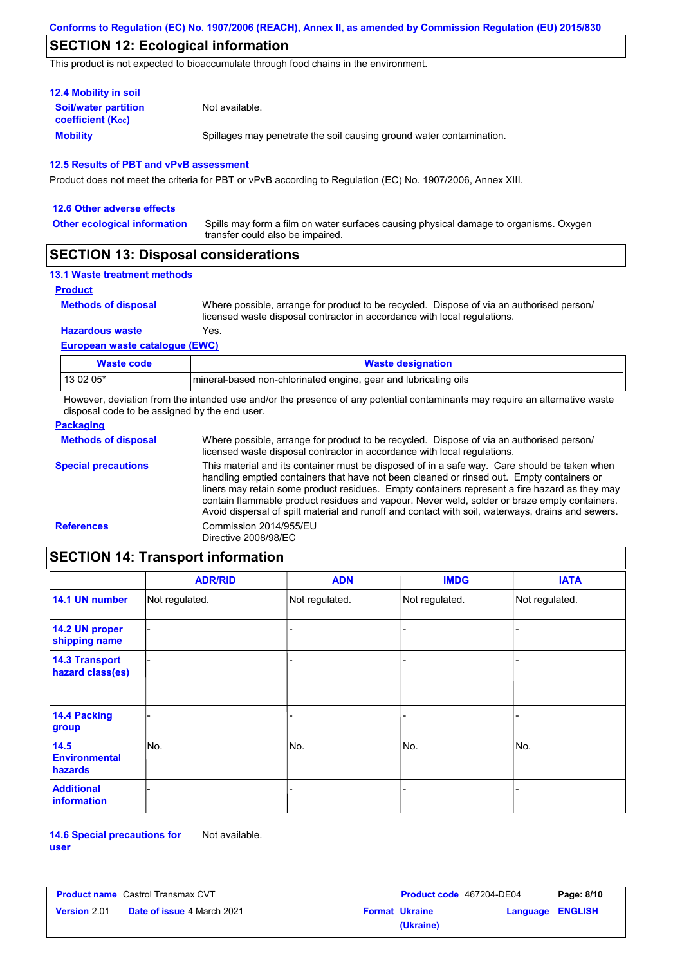# **SECTION 12: Ecological information**

This product is not expected to bioaccumulate through food chains in the environment.

| <b>12.4 Mobility in soil</b>                                  |                                                                      |
|---------------------------------------------------------------|----------------------------------------------------------------------|
| <b>Soil/water partition</b><br>coefficient (K <sub>oc</sub> ) | Not available.                                                       |
| <b>Mobility</b>                                               | Spillages may penetrate the soil causing ground water contamination. |

#### **12.5 Results of PBT and vPvB assessment**

Product does not meet the criteria for PBT or vPvB according to Regulation (EC) No. 1907/2006, Annex XIII.

| 12.6 Other adverse effects          |                                                                                                                           |
|-------------------------------------|---------------------------------------------------------------------------------------------------------------------------|
| <b>Other ecological information</b> | Spills may form a film on water surfaces causing physical damage to organisms. Oxygen<br>transfer could also be impaired. |
|                                     |                                                                                                                           |

## **SECTION 13: Disposal considerations**

#### **13.1 Waste treatment methods**

#### **Product**

**Methods of disposal**

Where possible, arrange for product to be recycled. Dispose of via an authorised person/ licensed waste disposal contractor in accordance with local regulations.

## **European waste catalogue (EWC) Hazardous waste** Yes.

| Waste code | <b>Waste designation</b>                                        |
|------------|-----------------------------------------------------------------|
| 13 02 05*  | mineral-based non-chlorinated engine, gear and lubricating oils |

However, deviation from the intended use and/or the presence of any potential contaminants may require an alternative waste disposal code to be assigned by the end user.

| <b>Packaging</b>           |                                                                                                                                                                                                                                                                                                                                                                                                                                                                                                 |
|----------------------------|-------------------------------------------------------------------------------------------------------------------------------------------------------------------------------------------------------------------------------------------------------------------------------------------------------------------------------------------------------------------------------------------------------------------------------------------------------------------------------------------------|
| <b>Methods of disposal</b> | Where possible, arrange for product to be recycled. Dispose of via an authorised person/<br>licensed waste disposal contractor in accordance with local regulations.                                                                                                                                                                                                                                                                                                                            |
| <b>Special precautions</b> | This material and its container must be disposed of in a safe way. Care should be taken when<br>handling emptied containers that have not been cleaned or rinsed out. Empty containers or<br>liners may retain some product residues. Empty containers represent a fire hazard as they may<br>contain flammable product residues and vapour. Never weld, solder or braze empty containers.<br>Avoid dispersal of spilt material and runoff and contact with soil, waterways, drains and sewers. |
| <b>References</b>          | Commission 2014/955/EU<br>Directive 2008/98/EC                                                                                                                                                                                                                                                                                                                                                                                                                                                  |

# **SECTION 14: Transport information**

|                                           | <b>ADR/RID</b> | <b>ADN</b>     | <b>IMDG</b>    | <b>IATA</b>    |
|-------------------------------------------|----------------|----------------|----------------|----------------|
| 14.1 UN number                            | Not regulated. | Not regulated. | Not regulated. | Not regulated. |
| 14.2 UN proper<br>shipping name           |                |                |                |                |
| <b>14.3 Transport</b><br>hazard class(es) |                |                | ۰              |                |
| 14.4 Packing<br>group                     |                |                | -              |                |
| 14.5<br><b>Environmental</b><br>hazards   | No.            | No.            | No.            | No.            |
| <b>Additional</b><br><b>information</b>   |                |                | ۰              |                |

**14.6 Special precautions for user** Not available.

| <b>Product name</b> Castrol Transmax CVT |                                   | Product code 467204-DE04 |                       | Page: 8/10       |  |
|------------------------------------------|-----------------------------------|--------------------------|-----------------------|------------------|--|
| <b>Version 2.01</b>                      | <b>Date of issue 4 March 2021</b> |                          | <b>Format Ukraine</b> | Language ENGLISH |  |
|                                          |                                   |                          | (Ukraine)             |                  |  |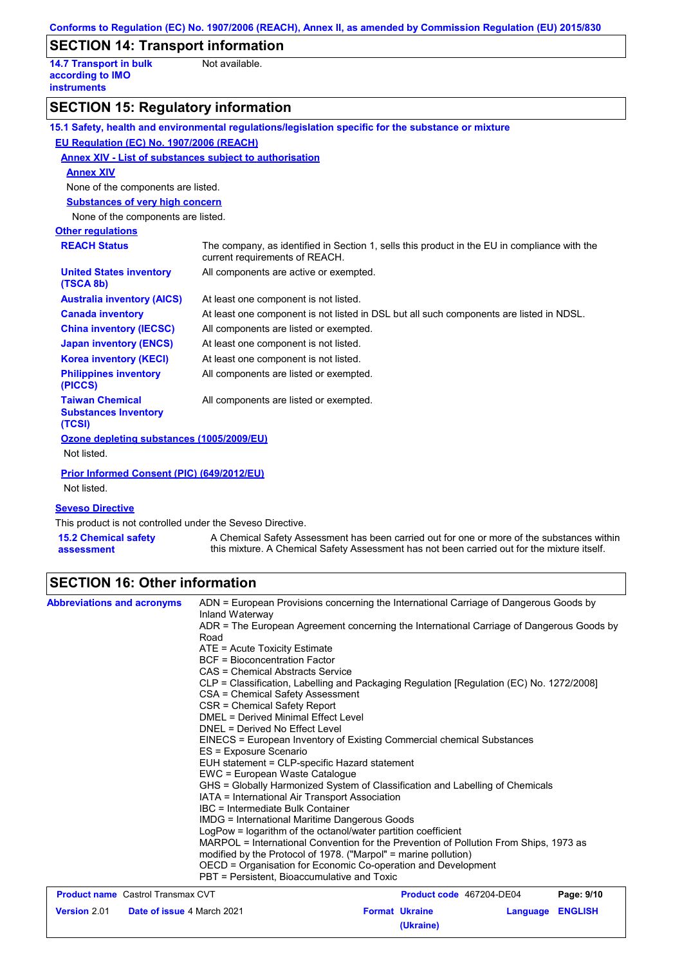# **SECTION 14: Transport information**

**14.7 Transport in bulk according to IMO instruments**

Not available.

# **SECTION 15: Regulatory information**

|                                                                 | 15.1 Safety, health and environmental regulations/legislation specific for the substance or mixture                            |
|-----------------------------------------------------------------|--------------------------------------------------------------------------------------------------------------------------------|
| EU Regulation (EC) No. 1907/2006 (REACH)                        |                                                                                                                                |
| <b>Annex XIV - List of substances subject to authorisation</b>  |                                                                                                                                |
| <b>Annex XIV</b>                                                |                                                                                                                                |
| None of the components are listed.                              |                                                                                                                                |
| <b>Substances of very high concern</b>                          |                                                                                                                                |
| None of the components are listed.                              |                                                                                                                                |
| <b>Other regulations</b>                                        |                                                                                                                                |
| <b>REACH Status</b>                                             | The company, as identified in Section 1, sells this product in the EU in compliance with the<br>current requirements of REACH. |
| <b>United States inventory</b><br>(TSCA 8b)                     | All components are active or exempted.                                                                                         |
| <b>Australia inventory (AICS)</b>                               | At least one component is not listed.                                                                                          |
| <b>Canada inventory</b>                                         | At least one component is not listed in DSL but all such components are listed in NDSL.                                        |
| <b>China inventory (IECSC)</b>                                  | All components are listed or exempted.                                                                                         |
| <b>Japan inventory (ENCS)</b>                                   | At least one component is not listed.                                                                                          |
| <b>Korea inventory (KECI)</b>                                   | At least one component is not listed.                                                                                          |
| <b>Philippines inventory</b><br>(PICCS)                         | All components are listed or exempted.                                                                                         |
| <b>Taiwan Chemical</b><br><b>Substances Inventory</b><br>(TCSI) | All components are listed or exempted.                                                                                         |
| Ozone depleting substances (1005/2009/EU)<br>Not listed.        |                                                                                                                                |
| Prior Informed Consent (PIC) (649/2012/EU)<br>Not listed.       |                                                                                                                                |
| <b>Seveso Directive</b>                                         |                                                                                                                                |
| This product is not controlled under the Seveso Directive.      |                                                                                                                                |
| <b>15.2 Chemical safety</b>                                     | A Chemical Safety Assessment has been carried out for one or more of the substances within                                     |

**15.2 Chemical safety assessment** this mixture. A Chemical Safety Assessment has not been carried out for the mixture itself.

# **SECTION 16: Other information**

| <b>Abbreviations and acronyms</b>                 | ADN = European Provisions concerning the International Carriage of Dangerous Goods by<br>Inland Waterway                                                                                                                                                                                                                                                                                                                                                                              |                                                                                          |                                 |                |            |                                             |
|---------------------------------------------------|---------------------------------------------------------------------------------------------------------------------------------------------------------------------------------------------------------------------------------------------------------------------------------------------------------------------------------------------------------------------------------------------------------------------------------------------------------------------------------------|------------------------------------------------------------------------------------------|---------------------------------|----------------|------------|---------------------------------------------|
|                                                   | Road                                                                                                                                                                                                                                                                                                                                                                                                                                                                                  | ADR = The European Agreement concerning the International Carriage of Dangerous Goods by |                                 |                |            |                                             |
|                                                   | ATE = Acute Toxicity Estimate                                                                                                                                                                                                                                                                                                                                                                                                                                                         |                                                                                          |                                 |                |            |                                             |
|                                                   | <b>BCF</b> = Bioconcentration Factor                                                                                                                                                                                                                                                                                                                                                                                                                                                  |                                                                                          |                                 |                |            |                                             |
|                                                   | CAS = Chemical Abstracts Service                                                                                                                                                                                                                                                                                                                                                                                                                                                      |                                                                                          |                                 |                |            |                                             |
|                                                   | CSA = Chemical Safety Assessment                                                                                                                                                                                                                                                                                                                                                                                                                                                      | CLP = Classification, Labelling and Packaging Regulation [Regulation (EC) No. 1272/2008] |                                 |                |            |                                             |
|                                                   | CSR = Chemical Safety Report                                                                                                                                                                                                                                                                                                                                                                                                                                                          |                                                                                          |                                 |                |            |                                             |
|                                                   | DMEL = Derived Minimal Effect Level<br>DNEL = Derived No Effect Level<br>EINECS = European Inventory of Existing Commercial chemical Substances<br>ES = Exposure Scenario<br>EUH statement = CLP-specific Hazard statement<br>EWC = European Waste Catalogue<br>GHS = Globally Harmonized System of Classification and Labelling of Chemicals<br>IATA = International Air Transport Association<br>IBC = Intermediate Bulk Container<br>IMDG = International Maritime Dangerous Goods |                                                                                          |                                 |                |            |                                             |
|                                                   |                                                                                                                                                                                                                                                                                                                                                                                                                                                                                       |                                                                                          |                                 |                |            |                                             |
|                                                   |                                                                                                                                                                                                                                                                                                                                                                                                                                                                                       |                                                                                          |                                 |                |            |                                             |
|                                                   |                                                                                                                                                                                                                                                                                                                                                                                                                                                                                       |                                                                                          |                                 |                |            |                                             |
|                                                   |                                                                                                                                                                                                                                                                                                                                                                                                                                                                                       |                                                                                          |                                 |                |            |                                             |
|                                                   |                                                                                                                                                                                                                                                                                                                                                                                                                                                                                       |                                                                                          |                                 |                |            |                                             |
|                                                   |                                                                                                                                                                                                                                                                                                                                                                                                                                                                                       |                                                                                          |                                 |                |            |                                             |
|                                                   |                                                                                                                                                                                                                                                                                                                                                                                                                                                                                       |                                                                                          |                                 |                |            |                                             |
|                                                   |                                                                                                                                                                                                                                                                                                                                                                                                                                                                                       |                                                                                          |                                 |                |            |                                             |
|                                                   | LogPow = logarithm of the octanol/water partition coefficient<br>MARPOL = International Convention for the Prevention of Pollution From Ships, 1973 as<br>modified by the Protocol of 1978. ("Marpol" = marine pollution)<br>OECD = Organisation for Economic Co-operation and Development                                                                                                                                                                                            |                                                                                          |                                 |                |            |                                             |
|                                                   |                                                                                                                                                                                                                                                                                                                                                                                                                                                                                       |                                                                                          |                                 |                |            |                                             |
|                                                   |                                                                                                                                                                                                                                                                                                                                                                                                                                                                                       |                                                                                          |                                 |                |            | PBT = Persistent, Bioaccumulative and Toxic |
|                                                   | <b>Product name</b> Castrol Transmax CVT                                                                                                                                                                                                                                                                                                                                                                                                                                              |                                                                                          | <b>Product code</b> 467204-DE04 |                | Page: 9/10 |                                             |
| Date of issue 4 March 2021<br><b>Version 2.01</b> |                                                                                                                                                                                                                                                                                                                                                                                                                                                                                       | <b>Format Ukraine</b>                                                                    | Language                        | <b>ENGLISH</b> |            |                                             |

**(Ukraine)**